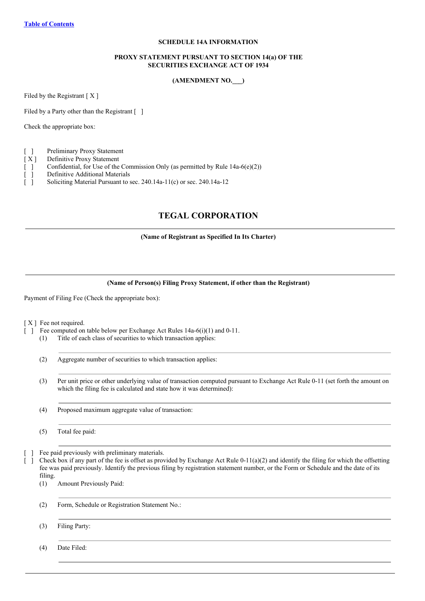## **SCHEDULE 14A INFORMATION**

### **PROXY STATEMENT PURSUANT TO SECTION 14(a) OF THE SECURITIES EXCHANGE ACT OF 1934**

## **(AMENDMENT NO.\_\_\_)**

<span id="page-0-0"></span>Filed by the Registrant  $[X]$ 

Filed by a Party other than the Registrant [ ]

Check the appropriate box:

|  | Preliminary Proxy Statement |  |
|--|-----------------------------|--|
|--|-----------------------------|--|

- [ X ] Definitive Proxy Statement
- [ ] Confidential, for Use of the Commission Only (as permitted by Rule 14a-6(e)(2))
- [ ] Definitive Additional Materials
- [ ] Soliciting Material Pursuant to sec. 240.14a-11(c) or sec. 240.14a-12

# **TEGAL CORPORATION**

**(Name of Registrant as Specified In Its Charter)**

#### **(Name of Person(s) Filing Proxy Statement, if other than the Registrant)**

Payment of Filing Fee (Check the appropriate box):

[X] Fee not required.

- [ ] Fee computed on table below per Exchange Act Rules 14a-6(i)(1) and 0-11.
	- (1) Title of each class of securities to which transaction applies:
	- (2) Aggregate number of securities to which transaction applies:
	- (3) Per unit price or other underlying value of transaction computed pursuant to Exchange Act Rule 0-11 (set forth the amount on which the filing fee is calculated and state how it was determined):
	- (4) Proposed maximum aggregate value of transaction:

(5) Total fee paid:

Fee paid previously with preliminary materials.

 $\Box$  Check box if any part of the fee is offset as provided by Exchange Act Rule 0-11(a)(2) and identify the filing for which the offsetting fee was paid previously. Identify the previous filing by registration statement number, or the Form or Schedule and the date of its filing.

(1) Amount Previously Paid:

(2) Form, Schedule or Registration Statement No.:

(3) Filing Party:

(4) Date Filed: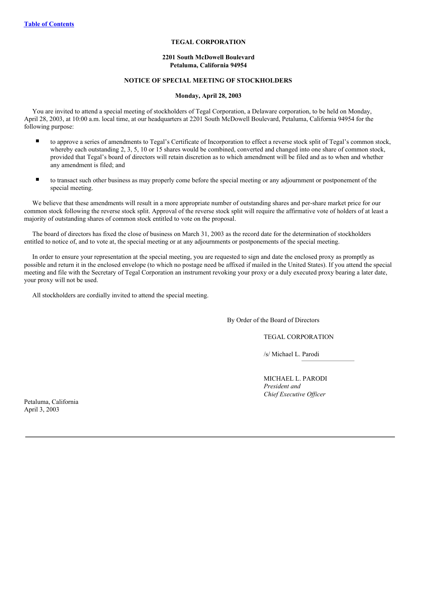## **TEGAL CORPORATION**

#### **2201 South McDowell Boulevard Petaluma, California 94954**

## **NOTICE OF SPECIAL MEETING OF STOCKHOLDERS**

#### **Monday, April 28, 2003**

You are invited to attend a special meeting of stockholders of Tegal Corporation, a Delaware corporation, to be held on Monday, April 28, 2003, at 10:00 a.m. local time, at our headquarters at 2201 South McDowell Boulevard, Petaluma, California 94954 for the following purpose:

- n to approve a series of amendments to Tegal's Certificate of Incorporation to effect a reverse stock split of Tegal's common stock, whereby each outstanding 2, 3, 5, 10 or 15 shares would be combined, converted and changed into one share of common stock, provided that Tegal's board of directors will retain discretion as to which amendment will be filed and as to when and whether any amendment is filed; and
- n to transact such other business as may properly come before the special meeting or any adjournment or postponement of the special meeting.

We believe that these amendments will result in a more appropriate number of outstanding shares and per-share market price for our common stock following the reverse stock split. Approval of the reverse stock split will require the affirmative vote of holders of at least a majority of outstanding shares of common stock entitled to vote on the proposal.

The board of directors has fixed the close of business on March 31, 2003 as the record date for the determination of stockholders entitled to notice of, and to vote at, the special meeting or at any adjournments or postponements of the special meeting.

In order to ensure your representation at the special meeting, you are requested to sign and date the enclosed proxy as promptly as possible and return it in the enclosed envelope (to which no postage need be affixed if mailed in the United States). If you attend the special meeting and file with the Secretary of Tegal Corporation an instrument revoking your proxy or a duly executed proxy bearing a later date, your proxy will not be used.

All stockholders are cordially invited to attend the special meeting.

By Order of the Board of Directors

TEGAL CORPORATION

/s/ Michael L. Parodi

MICHAEL L. PARODI *President and Chief Executive Of icer*

Petaluma, California April 3, 2003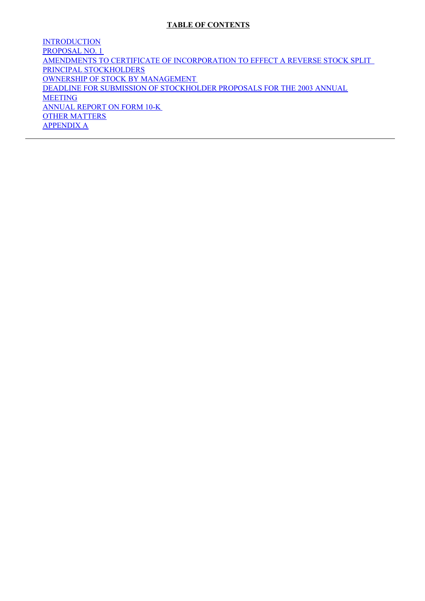# **TABLE OF CONTENTS**

**[INTRODUCTION](#page-0-0)** [PROPOSAL](#page-0-0) NO. 1 AMENDMENTS TO CERTIFICATE OF [INCORPORATION](#page-0-0) TO EFFECT A REVERSE STOCK SPLIT PRINCIPAL [STOCKHOLDERS](#page-0-0) OWNERSHIP OF STOCK BY [MANAGEMENT](#page-0-0) DEADLINE FOR SUBMISSION OF [STOCKHOLDER](#page-0-0) PROPOSALS FOR THE 2003 ANNUAL MEETING [ANNUAL](#page-0-0) REPORT ON FORM 10-K OTHER [MATTERS](#page-0-0) [APPENDIX](#page-0-0) A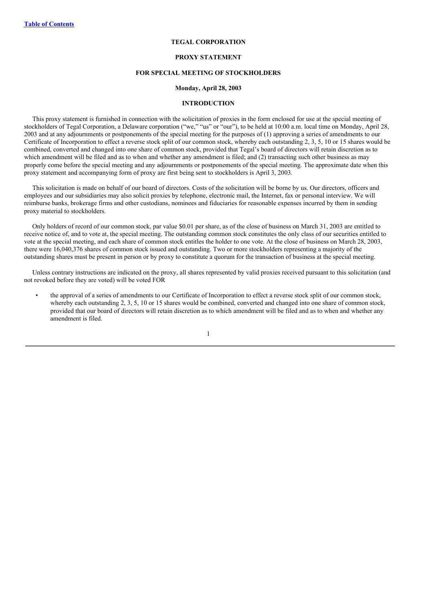## **TEGAL CORPORATION**

### **PROXY STATEMENT**

#### **FOR SPECIAL MEETING OF STOCKHOLDERS**

#### **Monday, April 28, 2003**

#### **INTRODUCTION**

This proxy statement is furnished in connection with the solicitation of proxies in the form enclosed for use at the special meeting of stockholders of Tegal Corporation, a Delaware corporation ("we," "us" or "our"), to be held at 10:00 a.m. local time on Monday, April 28, 2003 and at any adjournments or postponements of the special meeting for the purposes of (1) approving a series of amendments to our Certificate of Incorporation to effect a reverse stock split of our common stock, whereby each outstanding 2, 3, 5, 10 or 15 shares would be combined, converted and changed into one share of common stock, provided that Tegal's board of directors will retain discretion as to which amendment will be filed and as to when and whether any amendment is filed; and (2) transacting such other business as may properly come before the special meeting and any adjournments or postponements of the special meeting. The approximate date when this proxy statement and accompanying form of proxy are first being sent to stockholders is April 3, 2003.

This solicitation is made on behalf of our board of directors. Costs of the solicitation will be borne by us. Our directors, officers and employees and our subsidiaries may also solicit proxies by telephone, electronic mail, the Internet, fax or personal interview. We will reimburse banks, brokerage firms and other custodians, nominees and fiduciaries for reasonable expenses incurred by them in sending proxy material to stockholders.

Only holders of record of our common stock, par value \$0.01 per share, as of the close of business on March 31, 2003 are entitled to receive notice of, and to vote at, the special meeting. The outstanding common stock constitutes the only class of our securities entitled to vote at the special meeting, and each share of common stock entitles the holder to one vote. At the close of business on March 28, 2003, there were 16,040,376 shares of common stock issued and outstanding. Two or more stockholders representing a majority of the outstanding shares must be present in person or by proxy to constitute a quorum for the transaction of business at the special meeting.

Unless contrary instructions are indicated on the proxy, all shares represented by valid proxies received pursuant to this solicitation (and not revoked before they are voted) will be voted FOR

• the approval of a series of amendments to our Certificate of Incorporation to effect a reverse stock split of our common stock, whereby each outstanding 2, 3, 5, 10 or 15 shares would be combined, converted and changed into one share of common stock, provided that our board of directors will retain discretion as to which amendment will be filed and as to when and whether any amendment is filed.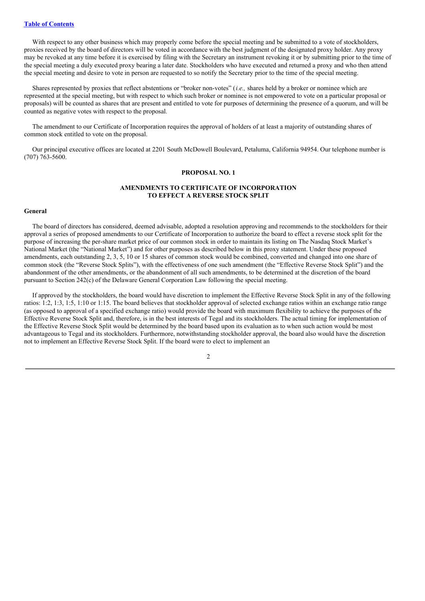With respect to any other business which may properly come before the special meeting and be submitted to a vote of stockholders, proxies received by the board of directors will be voted in accordance with the best judgment of the designated proxy holder. Any proxy may be revoked at any time before it is exercised by filing with the Secretary an instrument revoking it or by submitting prior to the time of the special meeting a duly executed proxy bearing a later date. Stockholders who have executed and returned a proxy and who then attend the special meeting and desire to vote in person are requested to so notify the Secretary prior to the time of the special meeting.

Shares represented by proxies that reflect abstentions or "broker non-votes" (*i.e.,* shares held by a broker or nominee which are represented at the special meeting, but with respect to which such broker or nominee is not empowered to vote on a particular proposal or proposals) will be counted as shares that are present and entitled to vote for purposes of determining the presence of a quorum, and will be counted as negative votes with respect to the proposal.

The amendment to our Certificate of Incorporation requires the approval of holders of at least a majority of outstanding shares of common stock entitled to vote on the proposal.

Our principal executive offices are located at 2201 South McDowell Boulevard, Petaluma, California 94954. Our telephone number is (707) 763-5600.

#### **PROPOSAL NO. 1**

## **AMENDMENTS TO CERTIFICATE OF INCORPORATION TO EFFECT A REVERSE STOCK SPLIT**

#### **General**

The board of directors has considered, deemed advisable, adopted a resolution approving and recommends to the stockholders for their approval a series of proposed amendments to our Certificate of Incorporation to authorize the board to effect a reverse stock split for the purpose of increasing the per-share market price of our common stock in order to maintain its listing on The Nasdaq Stock Market's National Market (the "National Market") and for other purposes as described below in this proxy statement. Under these proposed amendments, each outstanding 2, 3, 5, 10 or 15 shares of common stock would be combined, converted and changed into one share of common stock (the "Reverse Stock Splits"), with the effectiveness of one such amendment (the "Effective Reverse Stock Split") and the abandonment of the other amendments, or the abandonment of all such amendments, to be determined at the discretion of the board pursuant to Section 242(c) of the Delaware General Corporation Law following the special meeting.

If approved by the stockholders, the board would have discretion to implement the Effective Reverse Stock Split in any of the following ratios: 1:2, 1:3, 1:5, 1:10 or 1:15. The board believes that stockholder approval of selected exchange ratios within an exchange ratio range (as opposed to approval of a specified exchange ratio) would provide the board with maximum flexibility to achieve the purposes of the Effective Reverse Stock Split and, therefore, is in the best interests of Tegal and its stockholders. The actual timing for implementation of the Effective Reverse Stock Split would be determined by the board based upon its evaluation as to when such action would be most advantageous to Tegal and its stockholders. Furthermore, notwithstanding stockholder approval, the board also would have the discretion not to implement an Effective Reverse Stock Split. If the board were to elect to implement an

 $\overline{2}$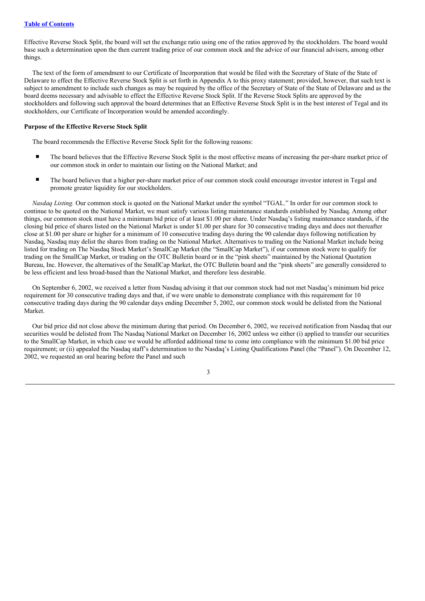Effective Reverse Stock Split, the board will set the exchange ratio using one of the ratios approved by the stockholders. The board would base such a determination upon the then current trading price of our common stock and the advice of our financial advisers, among other things.

The text of the form of amendment to our Certificate of Incorporation that would be filed with the Secretary of State of the State of Delaware to effect the Effective Reverse Stock Split is set forth in Appendix A to this proxy statement; provided, however, that such text is subject to amendment to include such changes as may be required by the office of the Secretary of State of the State of Delaware and as the board deems necessary and advisable to effect the Effective Reverse Stock Split. If the Reverse Stock Splits are approved by the stockholders and following such approval the board determines that an Effective Reverse Stock Split is in the best interest of Tegal and its stockholders, our Certificate of Incorporation would be amended accordingly.

#### **Purpose of the Effective Reverse Stock Split**

The board recommends the Effective Reverse Stock Split for the following reasons:

- The board believes that the Effective Reverse Stock Split is the most effective means of increasing the per-share market price of our common stock in order to maintain our listing on the National Market; and
- The board believes that a higher per-share market price of our common stock could encourage investor interest in Tegal and promote greater liquidity for our stockholders.

*Nasdaq Listing.* Our common stock is quoted on the National Market under the symbol "TGAL." In order for our common stock to continue to be quoted on the National Market, we must satisfy various listing maintenance standards established by Nasdaq. Among other things, our common stock must have a minimum bid price of at least \$1.00 per share. Under Nasdaq's listing maintenance standards, if the closing bid price of shares listed on the National Market is under \$1.00 per share for 30 consecutive trading days and does not thereafter close at \$1.00 per share or higher for a minimum of 10 consecutive trading days during the 90 calendar days following notification by Nasdaq, Nasdaq may delist the shares from trading on the National Market. Alternatives to trading on the National Market include being listed for trading on The Nasdaq Stock Market's SmallCap Market (the "SmallCap Market"), if our common stock were to qualify for trading on the SmallCap Market, or trading on the OTC Bulletin board or in the "pink sheets" maintained by the National Quotation Bureau, Inc. However, the alternatives of the SmallCap Market, the OTC Bulletin board and the "pink sheets" are generally considered to be less efficient and less broad-based than the National Market, and therefore less desirable.

On September 6, 2002, we received a letter from Nasdaq advising it that our common stock had not met Nasdaq's minimum bid price requirement for 30 consecutive trading days and that, if we were unable to demonstrate compliance with this requirement for 10 consecutive trading days during the 90 calendar days ending December 5, 2002, our common stock would be delisted from the National Market.

Our bid price did not close above the minimum during that period. On December 6, 2002, we received notification from Nasdaq that our securities would be delisted from The Nasdaq National Market on December 16, 2002 unless we either (i) applied to transfer our securities to the SmallCap Market, in which case we would be afforded additional time to come into compliance with the minimum \$1.00 bid price requirement; or (ii) appealed the Nasdaq staff's determination to the Nasdaq's Listing Qualifications Panel (the "Panel"). On December 12, 2002, we requested an oral hearing before the Panel and such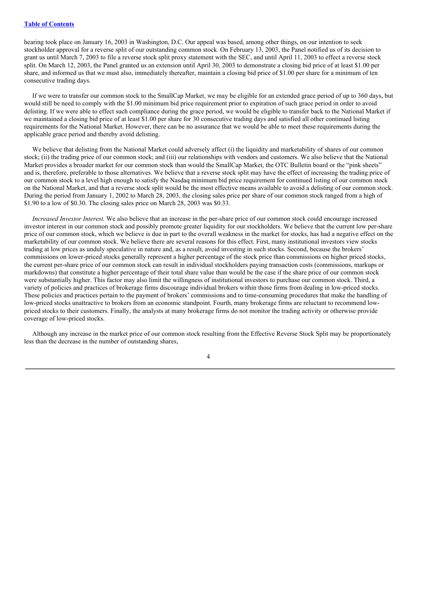hearing took place on January 16, 2003 in Washington, D.C. Our appeal was based, among other things, on our intention to seek stockholder approval for a reverse split of our outstanding common stock. On February 13, 2003, the Panel notified us of its decision to grant us until March 7, 2003 to file a reverse stock split proxy statement with the SEC, and until April 11, 2003 to effect a reverse stock split. On March 12, 2003, the Panel granted us an extension until April 30, 2003 to demonstrate a closing bid price of at least \$1.00 per share, and informed us that we must also, immediately thereafter, maintain a closing bid price of \$1.00 per share for a minimum of ten consecutive trading days.

If we were to transfer our common stock to the SmallCap Market, we may be eligible for an extended grace period of up to 360 days, but would still be need to comply with the \$1.00 minimum bid price requirement prior to expiration of such grace period in order to avoid delisting. If we were able to effect such compliance during the grace period, we would be eligible to transfer back to the National Market if we maintained a closing bid price of at least \$1.00 per share for 30 consecutive trading days and satisfied all other continued listing requirements for the National Market. However, there can be no assurance that we would be able to meet these requirements during the applicable grace period and thereby avoid delisting.

We believe that delisting from the National Market could adversely affect (i) the liquidity and marketability of shares of our common stock; (ii) the trading price of our common stock; and (iii) our relationships with vendors and customers. We also believe that the National Market provides a broader market for our common stock than would the SmallCap Market, the OTC Bulletin board or the "pink sheets" and is, therefore, preferable to those alternatives. We believe that a reverse stock split may have the effect of increasing the trading price of our common stock to a level high enough to satisfy the Nasdaq minimum bid price requirement for continued listing of our common stock on the National Market, and that a reverse stock split would be the most effective means available to avoid a delisting of our common stock. During the period from January 1, 2002 to March 28, 2003, the closing sales price per share of our common stock ranged from a high of \$1.90 to a low of \$0.30. The closing sales price on March 28, 2003 was \$0.33.

*Increased Investor Interest.* We also believe that an increase in the per-share price of our common stock could encourage increased investor interest in our common stock and possibly promote greater liquidity for our stockholders. We believe that the current low per-share price of our common stock, which we believe is due in part to the overall weakness in the market for stocks, has had a negative effect on the marketability of our common stock. We believe there are several reasons for this effect. First, many institutional investors view stocks trading at low prices as unduly speculative in nature and, as a result, avoid investing in such stocks. Second, because the brokers' commissions on lower-priced stocks generally represent a higher percentage of the stock price than commissions on higher priced stocks, the current per-share price of our common stock can result in individual stockholders paying transaction costs (commissions, markups or markdowns) that constitute a higher percentage of their total share value than would be the case if the share price of our common stock were substantially higher. This factor may also limit the willingness of institutional investors to purchase our common stock. Third, a variety of policies and practices of brokerage firms discourage individual brokers within those firms from dealing in low-priced stocks. These policies and practices pertain to the payment of brokers' commissions and to time-consuming procedures that make the handling of low-priced stocks unattractive to brokers from an economic standpoint. Fourth, many brokerage firms are reluctant to recommend lowpriced stocks to their customers. Finally, the analysts at many brokerage firms do not monitor the trading activity or otherwise provide coverage of low-priced stocks.

Although any increase in the market price of our common stock resulting from the Effective Reverse Stock Split may be proportionately less than the decrease in the number of outstanding shares,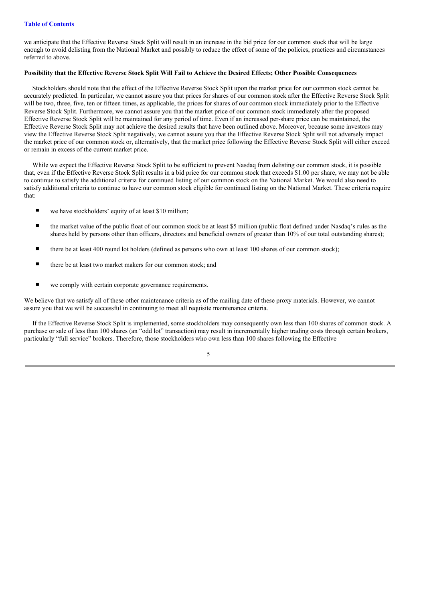we anticipate that the Effective Reverse Stock Split will result in an increase in the bid price for our common stock that will be large enough to avoid delisting from the National Market and possibly to reduce the effect of some of the policies, practices and circumstances referred to above.

### Possibility that the Effective Reverse Stock Split Will Fail to Achieve the Desired Effects; Other Possible Consequences

Stockholders should note that the effect of the Effective Reverse Stock Split upon the market price for our common stock cannot be accurately predicted. In particular, we cannot assure you that prices for shares of our common stock after the Effective Reverse Stock Split will be two, three, five, ten or fifteen times, as applicable, the prices for shares of our common stock immediately prior to the Effective Reverse Stock Split. Furthermore, we cannot assure you that the market price of our common stock immediately after the proposed Effective Reverse Stock Split will be maintained for any period of time. Even if an increased per-share price can be maintained, the Effective Reverse Stock Split may not achieve the desired results that have been outlined above. Moreover, because some investors may view the Effective Reverse Stock Split negatively, we cannot assure you that the Effective Reverse Stock Split will not adversely impact the market price of our common stock or, alternatively, that the market price following the Effective Reverse Stock Split will either exceed or remain in excess of the current market price.

While we expect the Effective Reverse Stock Split to be sufficient to prevent Nasdaq from delisting our common stock, it is possible that, even if the Effective Reverse Stock Split results in a bid price for our common stock that exceeds \$1.00 per share, we may not be able to continue to satisfy the additional criteria for continued listing of our common stock on the National Market. We would also need to satisfy additional criteria to continue to have our common stock eligible for continued listing on the National Market. These criteria require that:

- $\blacksquare$  we have stockholders' equity of at least \$10 million;
- $\blacksquare$  the market value of the public float of our common stock be at least \$5 million (public float defined under Nasdaq's rules as the shares held by persons other than officers, directors and beneficial owners of greater than 10% of our total outstanding shares);
- there be at least 400 round lot holders (defined as persons who own at least 100 shares of our common stock);
- there be at least two market makers for our common stock; and
- we comply with certain corporate governance requirements.

We believe that we satisfy all of these other maintenance criteria as of the mailing date of these proxy materials. However, we cannot assure you that we will be successful in continuing to meet all requisite maintenance criteria.

If the Effective Reverse Stock Split is implemented, some stockholders may consequently own less than 100 shares of common stock. A purchase or sale of less than 100 shares (an "odd lot" transaction) may result in incrementally higher trading costs through certain brokers, particularly "full service" brokers. Therefore, those stockholders who own less than 100 shares following the Effective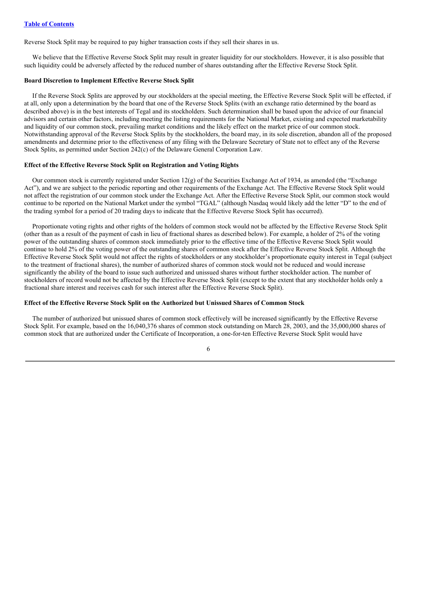Reverse Stock Split may be required to pay higher transaction costs if they sell their shares in us.

We believe that the Effective Reverse Stock Split may result in greater liquidity for our stockholders. However, it is also possible that such liquidity could be adversely affected by the reduced number of shares outstanding after the Effective Reverse Stock Split.

#### **Board Discretion to Implement Effective Reverse Stock Split**

If the Reverse Stock Splits are approved by our stockholders at the special meeting, the Effective Reverse Stock Split will be effected, if at all, only upon a determination by the board that one of the Reverse Stock Splits (with an exchange ratio determined by the board as described above) is in the best interests of Tegal and its stockholders. Such determination shall be based upon the advice of our financial advisors and certain other factors, including meeting the listing requirements for the National Market, existing and expected marketability and liquidity of our common stock, prevailing market conditions and the likely effect on the market price of our common stock. Notwithstanding approval of the Reverse Stock Splits by the stockholders, the board may, in its sole discretion, abandon all of the proposed amendments and determine prior to the effectiveness of any filing with the Delaware Secretary of State not to effect any of the Reverse Stock Splits, as permitted under Section 242(c) of the Delaware General Corporation Law.

#### **Effect of the Effective Reverse Stock Split on Registration and Voting Rights**

Our common stock is currently registered under Section  $12(g)$  of the Securities Exchange Act of 1934, as amended (the "Exchange" Act"), and we are subject to the periodic reporting and other requirements of the Exchange Act. The Effective Reverse Stock Split would not affect the registration of our common stock under the Exchange Act. After the Effective Reverse Stock Split, our common stock would continue to be reported on the National Market under the symbol "TGAL" (although Nasdaq would likely add the letter "D" to the end of the trading symbol for a period of 20 trading days to indicate that the Effective Reverse Stock Split has occurred).

Proportionate voting rights and other rights of the holders of common stock would not be affected by the Effective Reverse Stock Split (other than as a result of the payment of cash in lieu of fractional shares as described below). For example, a holder of 2% of the voting power of the outstanding shares of common stock immediately prior to the effective time of the Effective Reverse Stock Split would continue to hold 2% of the voting power of the outstanding shares of common stock after the Effective Reverse Stock Split. Although the Effective Reverse Stock Split would not affect the rights of stockholders or any stockholder's proportionate equity interest in Tegal (subject to the treatment of fractional shares), the number of authorized shares of common stock would not be reduced and would increase significantly the ability of the board to issue such authorized and unissued shares without further stockholder action. The number of stockholders of record would not be affected by the Effective Reverse Stock Split (except to the extent that any stockholder holds only a fractional share interest and receives cash for such interest after the Effective Reverse Stock Split).

### **Effect of the Effective Reverse Stock Split on the Authorized but Unissued Shares of Common Stock**

The number of authorized but unissued shares of common stock effectively will be increased significantly by the Effective Reverse Stock Split. For example, based on the 16,040,376 shares of common stock outstanding on March 28, 2003, and the 35,000,000 shares of common stock that are authorized under the Certificate of Incorporation, a one-for-ten Effective Reverse Stock Split would have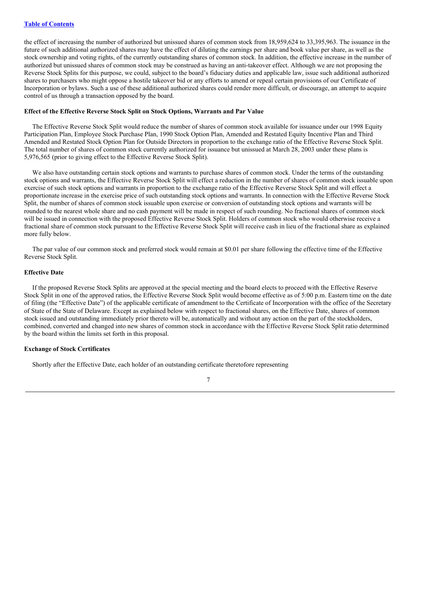the effect of increasing the number of authorized but unissued shares of common stock from 18,959,624 to 33,395,963. The issuance in the future of such additional authorized shares may have the effect of diluting the earnings per share and book value per share, as well as the stock ownership and voting rights, of the currently outstanding shares of common stock. In addition, the effective increase in the number of authorized but unissued shares of common stock may be construed as having an anti-takeover effect. Although we are not proposing the Reverse Stock Splits for this purpose, we could, subject to the board's fiduciary duties and applicable law, issue such additional authorized shares to purchasers who might oppose a hostile takeover bid or any efforts to amend or repeal certain provisions of our Certificate of Incorporation or bylaws. Such a use of these additional authorized shares could render more difficult, or discourage, an attempt to acquire control of us through a transaction opposed by the board.

#### **Effect of the Effective Reverse Stock Split on Stock Options, Warrants and Par Value**

The Effective Reverse Stock Split would reduce the number of shares of common stock available for issuance under our 1998 Equity Participation Plan, Employee Stock Purchase Plan, 1990 Stock Option Plan, Amended and Restated Equity Incentive Plan and Third Amended and Restated Stock Option Plan for Outside Directors in proportion to the exchange ratio of the Effective Reverse Stock Split. The total number of shares of common stock currently authorized for issuance but unissued at March 28, 2003 under these plans is 5,976,565 (prior to giving effect to the Effective Reverse Stock Split).

We also have outstanding certain stock options and warrants to purchase shares of common stock. Under the terms of the outstanding stock options and warrants, the Effective Reverse Stock Split will effect a reduction in the number of shares of common stock issuable upon exercise of such stock options and warrants in proportion to the exchange ratio of the Effective Reverse Stock Split and will effect a proportionate increase in the exercise price of such outstanding stock options and warrants. In connection with the Effective Reverse Stock Split, the number of shares of common stock issuable upon exercise or conversion of outstanding stock options and warrants will be rounded to the nearest whole share and no cash payment will be made in respect of such rounding. No fractional shares of common stock will be issued in connection with the proposed Effective Reverse Stock Split. Holders of common stock who would otherwise receive a fractional share of common stock pursuant to the Effective Reverse Stock Split will receive cash in lieu of the fractional share as explained more fully below.

The par value of our common stock and preferred stock would remain at \$0.01 per share following the effective time of the Effective Reverse Stock Split.

#### **Effective Date**

If the proposed Reverse Stock Splits are approved at the special meeting and the board elects to proceed with the Effective Reserve Stock Split in one of the approved ratios, the Effective Reverse Stock Split would become effective as of 5:00 p.m. Eastern time on the date of filing (the "Effective Date") of the applicable certificate of amendment to the Certificate of Incorporation with the office of the Secretary of State of the State of Delaware. Except as explained below with respect to fractional shares, on the Effective Date, shares of common stock issued and outstanding immediately prior thereto will be, automatically and without any action on the part of the stockholders, combined, converted and changed into new shares of common stock in accordance with the Effective Reverse Stock Split ratio determined by the board within the limits set forth in this proposal.

## **Exchange of Stock Certificates**

Shortly after the Effective Date, each holder of an outstanding certificate theretofore representing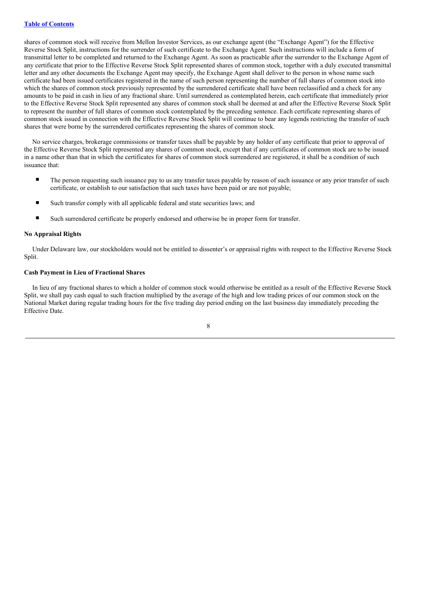shares of common stock will receive from Mellon Investor Services, as our exchange agent (the "Exchange Agent") for the Effective Reverse Stock Split, instructions for the surrender of such certificate to the Exchange Agent. Such instructions will include a form of transmittal letter to be completed and returned to the Exchange Agent. As soon as practicable after the surrender to the Exchange Agent of any certificate that prior to the Effective Reverse Stock Split represented shares of common stock, together with a duly executed transmittal letter and any other documents the Exchange Agent may specify, the Exchange Agent shall deliver to the person in whose name such certificate had been issued certificates registered in the name of such person representing the number of full shares of common stock into which the shares of common stock previously represented by the surrendered certificate shall have been reclassified and a check for any amounts to be paid in cash in lieu of any fractional share. Until surrendered as contemplated herein, each certificate that immediately prior to the Effective Reverse Stock Split represented any shares of common stock shall be deemed at and after the Effective Reverse Stock Split to represent the number of full shares of common stock contemplated by the preceding sentence. Each certificate representing shares of common stock issued in connection with the Effective Reverse Stock Split will continue to bear any legends restricting the transfer of such shares that were borne by the surrendered certificates representing the shares of common stock.

No service charges, brokerage commissions or transfer taxes shall be payable by any holder of any certificate that prior to approval of the Effective Reverse Stock Split represented any shares of common stock, except that if any certificates of common stock are to be issued in a name other than that in which the certificates for shares of common stock surrendered are registered, it shall be a condition of such issuance that:

- The person requesting such issuance pay to us any transfer taxes payable by reason of such issuance or any prior transfer of such certificate, or establish to our satisfaction that such taxes have been paid or are not payable;
- Such transfer comply with all applicable federal and state securities laws; and
- Such surrendered certificate be properly endorsed and otherwise be in proper form for transfer.

#### **No Appraisal Rights**

Under Delaware law, our stockholders would not be entitled to dissenter's or appraisal rights with respect to the Effective Reverse Stock Split.

### **Cash Payment in Lieu of Fractional Shares**

In lieu of any fractional shares to which a holder of common stock would otherwise be entitled as a result of the Effective Reverse Stock Split, we shall pay cash equal to such fraction multiplied by the average of the high and low trading prices of our common stock on the National Market during regular trading hours for the five trading day period ending on the last business day immediately preceding the Effective Date.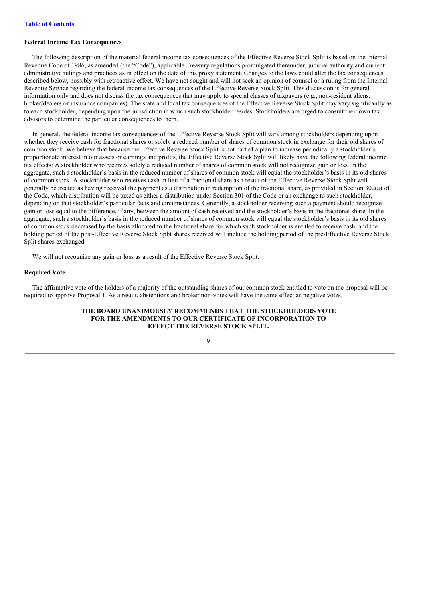## **Federal Income Tax Consequences**

The following description of the material federal income tax consequences of the Effective Reverse Stock Split is based on the Internal Revenue Code of 1986, as amended (the "Code"), applicable Treasury regulations promulgated thereunder, judicial authority and current administrative rulings and practices as in effect on the date of this proxy statement. Changes to the laws could alter the tax consequences described below, possibly with retroactive effect. We have not sought and will not seek an opinion of counsel or a ruling from the Internal Revenue Service regarding the federal income tax consequences of the Effective Reverse Stock Split. This discussion is for general information only and does not discuss the tax consequences that may apply to special classes of taxpayers (e.g., non-resident aliens, broker/dealers or insurance companies). The state and local tax consequences of the Effective Reverse Stock Split may vary significantly as to each stockholder, depending upon the jurisdiction in which such stockholder resides. Stockholders are urged to consult their own tax advisors to determine the particular consequences to them.

In general, the federal income tax consequences of the Effective Reverse Stock Split will vary among stockholders depending upon whether they receive cash for fractional shares or solely a reduced number of shares of common stock in exchange for their old shares of common stock. We believe that because the Effective Reverse Stock Split is not part of a plan to increase periodically a stockholder's proportionate interest in our assets or earnings and profits, the Effective Reverse Stock Split will likely have the following federal income tax effects: A stockholder who receives solely a reduced number of shares of common stock will not recognize gain or loss. In the aggregate, such a stockholder's basis in the reduced number of shares of common stock will equal the stockholder's basis in its old shares of common stock. A stockholder who receives cash in lieu of a fractional share as a result of the Effective Reverse Stock Split will generally be treated as having received the payment as a distribution in redemption of the fractional share, as provided in Section 302(a) of the Code, which distribution will be taxed as either a distribution under Section 301 of the Code or an exchange to such stockholder, depending on that stockholder's particular facts and circumstances. Generally, a stockholder receiving such a payment should recognize gain or loss equal to the difference, if any, between the amount of cash received and the stockholder's basis in the fractional share. In the aggregate, such a stockholder's basis in the reduced number of shares of common stock will equal the stockholder's basis in its old shares of common stock decreased by the basis allocated to the fractional share for which such stockholder is entitled to receive cash, and the holding period of the post-Effective Reverse Stock Split shares received will include the holding period of the pre-Effective Reverse Stock Split shares exchanged.

We will not recognize any gain or loss as a result of the Effective Reverse Stock Split.

#### **Required Vote**

The affirmative vote of the holders of a majority of the outstanding shares of our common stock entitled to vote on the proposal will be required to approve Proposal 1. As a result, abstentions and broker non-votes will have the same effect as negative votes.

### **THE BOARD UNANIMOUSLY RECOMMENDS THAT THE STOCKHOLDERS VOTE FOR THE AMENDMENTS TO OUR CERTIFICATE OF INCORPORATION TO EFFECT THE REVERSE STOCK SPLIT.**

## $\overline{Q}$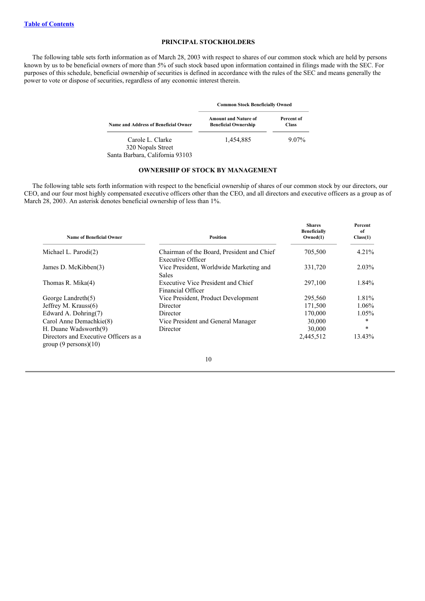## **PRINCIPAL STOCKHOLDERS**

The following table sets forth information as of March 28, 2003 with respect to shares of our common stock which are held by persons known by us to be beneficial owners of more than 5% of such stock based upon information contained in filings made with the SEC. For purposes of this schedule, beneficial ownership of securities is defined in accordance with the rules of the SEC and means generally the power to vote or dispose of securities, regardless of any economic interest therein.

|                                                                          | <b>Common Stock Beneficially Owned</b>                     |                            |  |  |
|--------------------------------------------------------------------------|------------------------------------------------------------|----------------------------|--|--|
| Name and Address of Beneficial Owner                                     | <b>Amount and Nature of</b><br><b>Beneficial Ownership</b> | Percent of<br><b>Class</b> |  |  |
| Carole L. Clarke<br>320 Nopals Street<br>Santa Barbara, California 93103 | 1,454,885                                                  | $9.07\%$                   |  |  |

### **OWNERSHIP OF STOCK BY MANAGEMENT**

The following table sets forth information with respect to the beneficial ownership of shares of our common stock by our directors, our CEO, and our four most highly compensated executive officers other than the CEO, and all directors and executive officers as a group as of March 28, 2003. An asterisk denotes beneficial ownership of less than 1%.

| <b>Name of Beneficial Owner</b>                               | Position                                                        | <b>Shares</b><br><b>Beneficially</b><br>Owned(1) | Percent<br>of<br>Class(1) |
|---------------------------------------------------------------|-----------------------------------------------------------------|--------------------------------------------------|---------------------------|
| Michael L. Parodi(2)                                          | Chairman of the Board, President and Chief<br>Executive Officer | 705,500                                          | 4.21%                     |
| James D. McKibben(3)                                          | Vice President, Worldwide Marketing and<br><b>Sales</b>         | 331,720                                          | $2.03\%$                  |
| Thomas R. Mika(4)                                             | Executive Vice President and Chief<br>Financial Officer         | 297,100                                          | 1.84%                     |
| George Landreth $(5)$                                         | Vice President, Product Development                             | 295,560                                          | 1.81%                     |
| Jeffrey M. Krauss(6)                                          | Director                                                        | 171,500                                          | $1.06\%$                  |
| Edward A. Dohring(7)                                          | Director                                                        | 170,000                                          | $1.05\%$                  |
| Carol Anne Demachkie(8)                                       | Vice President and General Manager                              | 30,000                                           | $\ast$                    |
| H. Duane Wadsworth(9)                                         | Director                                                        | 30,000                                           | $\ast$                    |
| Directors and Executive Officers as a<br>group(9 persons)(10) |                                                                 | 2,445,512                                        | 13.43%                    |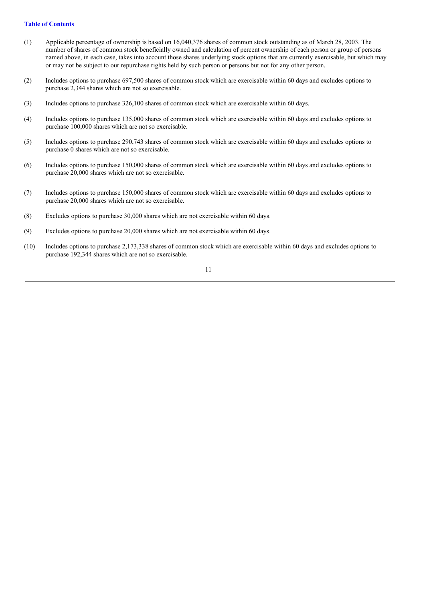### **Table of [Contents](#page-0-0)**

- (1) Applicable percentage of ownership is based on 16,040,376 shares of common stock outstanding as of March 28, 2003. The number of shares of common stock beneficially owned and calculation of percent ownership of each person or group of persons named above, in each case, takes into account those shares underlying stock options that are currently exercisable, but which may or may not be subject to our repurchase rights held by such person or persons but not for any other person.
- (2) Includes options to purchase 697,500 shares of common stock which are exercisable within 60 days and excludes options to purchase 2,344 shares which are not so exercisable.
- (3) Includes options to purchase 326,100 shares of common stock which are exercisable within 60 days.
- (4) Includes options to purchase 135,000 shares of common stock which are exercisable within 60 days and excludes options to purchase 100,000 shares which are not so exercisable.
- (5) Includes options to purchase 290,743 shares of common stock which are exercisable within 60 days and excludes options to purchase 0 shares which are not so exercisable.
- (6) Includes options to purchase 150,000 shares of common stock which are exercisable within 60 days and excludes options to purchase 20,000 shares which are not so exercisable.
- (7) Includes options to purchase 150,000 shares of common stock which are exercisable within 60 days and excludes options to purchase 20,000 shares which are not so exercisable.
- (8) Excludes options to purchase 30,000 shares which are not exercisable within 60 days.
- (9) Excludes options to purchase 20,000 shares which are not exercisable within 60 days.
- (10) Includes options to purchase 2,173,338 shares of common stock which are exercisable within 60 days and excludes options to purchase 192,344 shares which are not so exercisable.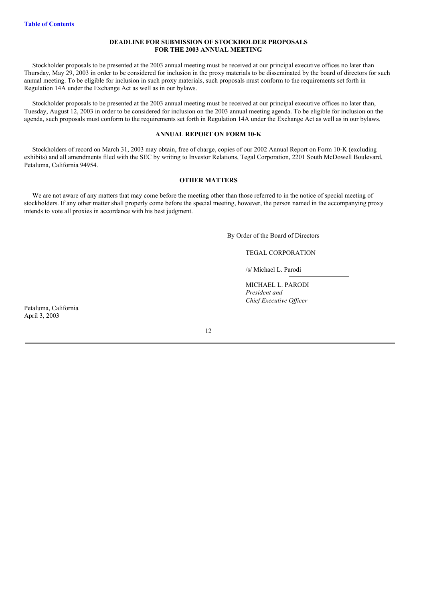### **DEADLINE FOR SUBMISSION OF STOCKHOLDER PROPOSALS FOR THE 2003 ANNUAL MEETING**

Stockholder proposals to be presented at the 2003 annual meeting must be received at our principal executive offices no later than Thursday, May 29, 2003 in order to be considered for inclusion in the proxy materials to be disseminated by the board of directors for such annual meeting. To be eligible for inclusion in such proxy materials, such proposals must conform to the requirements set forth in Regulation 14A under the Exchange Act as well as in our bylaws.

Stockholder proposals to be presented at the 2003 annual meeting must be received at our principal executive offices no later than, Tuesday, August 12, 2003 in order to be considered for inclusion on the 2003 annual meeting agenda. To be eligible for inclusion on the agenda, such proposals must conform to the requirements set forth in Regulation 14A under the Exchange Act as well as in our bylaws.

#### **ANNUAL REPORT ON FORM 10-K**

Stockholders of record on March 31, 2003 may obtain, free of charge, copies of our 2002 Annual Report on Form 10-K (excluding exhibits) and all amendments filed with the SEC by writing to Investor Relations, Tegal Corporation, 2201 South McDowell Boulevard, Petaluma, California 94954.

#### **OTHER MATTERS**

We are not aware of any matters that may come before the meeting other than those referred to in the notice of special meeting of stockholders. If any other matter shall properly come before the special meeting, however, the person named in the accompanying proxy intends to vote all proxies in accordance with his best judgment.

By Order of the Board of Directors

## TEGAL CORPORATION

/s/ Michael L. Parodi

MICHAEL L. PARODI *President and Chief Executive Of icer*

Petaluma, California April 3, 2003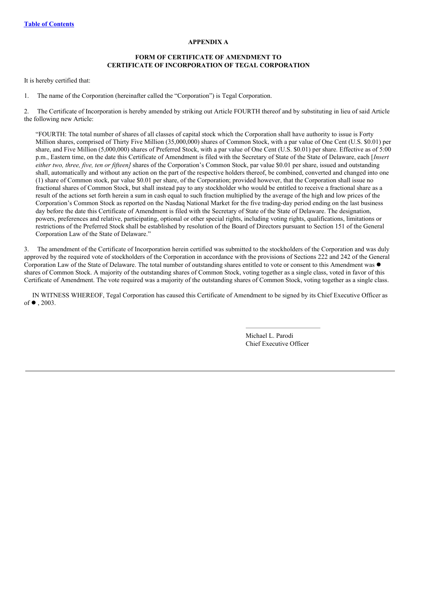### **APPENDIX A**

### **FORM OF CERTIFICATE OF AMENDMENT TO CERTIFICATE OF INCORPORATION OF TEGAL CORPORATION**

It is hereby certified that:

1. The name of the Corporation (hereinafter called the "Corporation") is Tegal Corporation.

2. The Certificate of Incorporation is hereby amended by striking out Article FOURTH thereof and by substituting in lieu of said Article the following new Article:

"FOURTH: The total number of shares of all classes of capital stock which the Corporation shall have authority to issue is Forty Million shares, comprised of Thirty Five Million (35,000,000) shares of Common Stock, with a par value of One Cent (U.S. \$0.01) per share, and Five Million (5,000,000) shares of Preferred Stock, with a par value of One Cent (U.S. \$0.01) per share. Effective as of 5:00 p.m., Eastern time, on the date this Certificate of Amendment is filed with the Secretary of State of the State of Delaware, each [*Insert either two, three, five, ten or fifteen]* shares of the Corporation's Common Stock, par value \$0.01 per share, issued and outstanding shall, automatically and without any action on the part of the respective holders thereof, be combined, converted and changed into one (1) share of Common stock, par value \$0.01 per share, of the Corporation; provided however, that the Corporation shall issue no fractional shares of Common Stock, but shall instead pay to any stockholder who would be entitled to receive a fractional share as a result of the actions set forth herein a sum in cash equal to such fraction multiplied by the average of the high and low prices of the Corporation's Common Stock as reported on the Nasdaq National Market for the five trading-day period ending on the last business day before the date this Certificate of Amendment is filed with the Secretary of State of the State of Delaware. The designation, powers, preferences and relative, participating, optional or other special rights, including voting rights, qualifications, limitations or restrictions of the Preferred Stock shall be established by resolution of the Board of Directors pursuant to Section 151 of the General Corporation Law of the State of Delaware."

3. The amendment of the Certificate of Incorporation herein certified was submitted to the stockholders of the Corporation and was duly approved by the required vote of stockholders of the Corporation in accordance with the provisions of Sections 222 and 242 of the General Corporation Law of the State of Delaware. The total number of outstanding shares entitled to vote or consent to this Amendment was  $\bullet$ shares of Common Stock. A majority of the outstanding shares of Common Stock, voting together as a single class, voted in favor of this Certificate of Amendment. The vote required was a majority of the outstanding shares of Common Stock, voting together as a single class.

IN WITNESS WHEREOF, Tegal Corporation has caused this Certificate of Amendment to be signed by its Chief Executive Officer as of  $\bullet$  , 2003.

> Michael L. Parodi Chief Executive Officer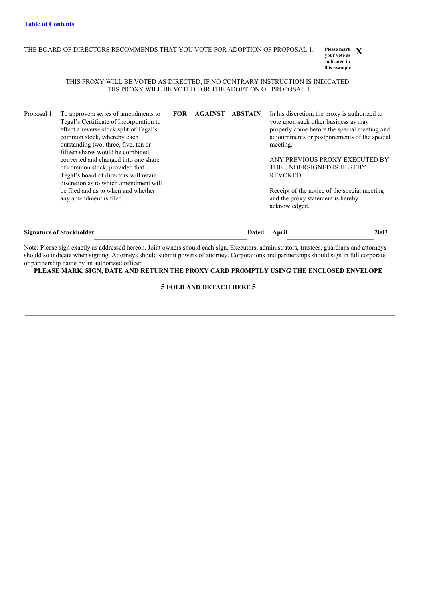#### THE BOARD OF DIRECTORS RECOMMENDS THAT YOU VOTE FOR ADOPTION OF PROPOSAL 1. Please mark **X**

**your vote as indicated in this example**

### THIS PROXY WILL BE VOTED AS DIRECTED, IF NO CONTRARY INSTRUCTION IS INDICATED. THIS PROXY WILL BE VOTED FOR THE ADOPTION OF PROPOSAL 1.

Proposal 1. To approve a series of amendments to Tegal's Certificate of Incorporation to effect a reverse stock split of Tegal's common stock, whereby each outstanding two, three, five, ten or fifteen shares would be combined, converted and changed into one share of common stock, provided that Tegal's board of directors will retain discretion as to which amendment will be filed and as to when and whether any amendment is filed. **FOR AGAINST ABSTAIN** In his discretion, the proxy is authorized to vote upon such other business as may properly come before the special meeting and adjournments or postponements of the special meeting. ANY PREVIOUS PROXY EXECUTED BY THE UNDERSIGNED IS HEREBY REVOKED. Receipt of the notice of the special meeting and the proxy statement is hereby acknowledged.

| <b>Signature of Stockholder</b> | Dated April |  | <b>2003</b> |
|---------------------------------|-------------|--|-------------|
|                                 |             |  |             |

Note: Please sign exactly as addressed hereon. Joint owners should each sign. Executors, administrators, trustees, guardians and attorneys should so indicate when signing. Attorneys should submit powers of attorney. Corporations and partnerships should sign in full corporate or partnership name by an authorized officer.

**PLEASE MARK, SIGN, DATE AND RETURN THE PROXY CARD PROMPTLY USING THE ENCLOSED ENVELOPE**

## **5 FOLD AND DETACH HERE 5**